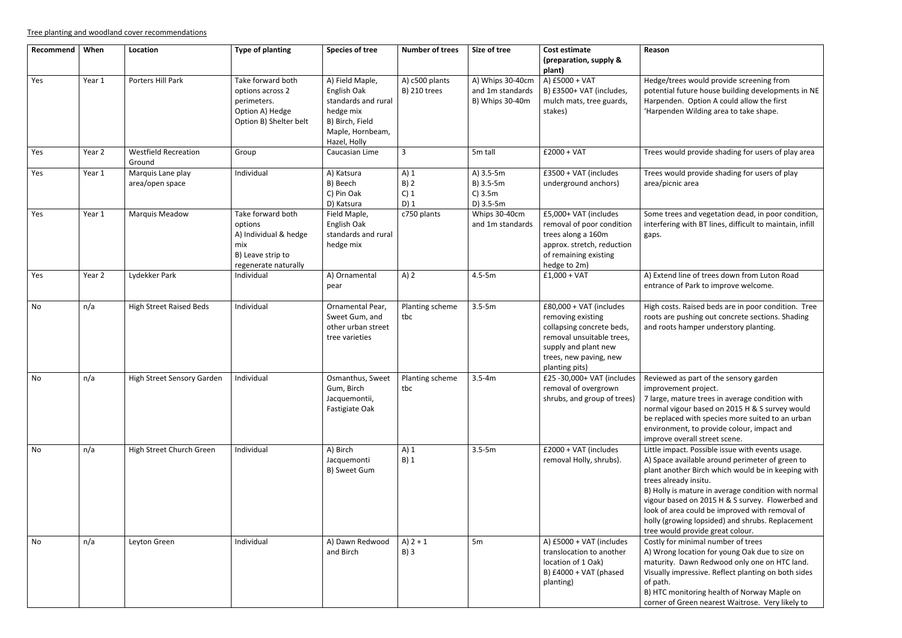| Recommend | When   | Location                              | <b>Type of planting</b>                                                                                   | <b>Species of tree</b>                                                                                                    | <b>Number of trees</b>                | Size of tree                                                   | Cost estimate<br>(preparation, supply &<br>plant)                                                                                                                          | Reason                                                                                                                                                                                                                                                                                                                                                                                                                                  |
|-----------|--------|---------------------------------------|-----------------------------------------------------------------------------------------------------------|---------------------------------------------------------------------------------------------------------------------------|---------------------------------------|----------------------------------------------------------------|----------------------------------------------------------------------------------------------------------------------------------------------------------------------------|-----------------------------------------------------------------------------------------------------------------------------------------------------------------------------------------------------------------------------------------------------------------------------------------------------------------------------------------------------------------------------------------------------------------------------------------|
| Yes       | Year 1 | Porters Hill Park                     | Take forward both<br>options across 2<br>perimeters.<br>Option A) Hedge<br>Option B) Shelter belt         | A) Field Maple,<br>English Oak<br>standards and rural<br>hedge mix<br>B) Birch, Field<br>Maple, Hornbeam,<br>Hazel, Holly | A) c500 plants<br><b>B) 210 trees</b> | A) Whips 30-40cm<br>and 1m standards<br><b>B) Whips 30-40m</b> | A) £5000 + VAT<br>B) £3500+ VAT (includes,<br>mulch mats, tree guards,<br>stakes)                                                                                          | Hedge/trees would provide screening from<br>potential future house building developments in NE<br>Harpenden. Option A could allow the first<br>'Harpenden Wilding area to take shape.                                                                                                                                                                                                                                                   |
| Yes       | Year 2 | <b>Westfield Recreation</b><br>Ground | Group                                                                                                     | Caucasian Lime                                                                                                            | $\overline{3}$                        | 5m tall                                                        | $£2000 + VAT$                                                                                                                                                              | Trees would provide shading for users of play area                                                                                                                                                                                                                                                                                                                                                                                      |
| Yes       | Year 1 | Marquis Lane play<br>area/open space  | Individual                                                                                                | A) Katsura<br>B) Beech<br>C) Pin Oak<br>D) Katsura                                                                        | $A)$ 1<br>B)2<br>$C)$ 1<br>$D)$ 1     | A) 3.5-5m<br>B) 3.5-5m<br>$C$ ) 3.5m<br>$D)$ 3.5-5m            | £3500 + VAT (includes<br>underground anchors)                                                                                                                              | Trees would provide shading for users of play<br>area/picnic area                                                                                                                                                                                                                                                                                                                                                                       |
| Yes       | Year 1 | Marquis Meadow                        | Take forward both<br>options<br>A) Individual & hedge<br>mix<br>B) Leave strip to<br>regenerate naturally | Field Maple,<br>English Oak<br>standards and rural<br>hedge mix                                                           | c750 plants                           | Whips 30-40cm<br>and 1m standards                              | £5,000+ VAT (includes<br>removal of poor condition<br>trees along a 160m<br>approx. stretch, reduction<br>of remaining existing<br>hedge to 2m)                            | Some trees and vegetation dead, in poor condition,<br>interfering with BT lines, difficult to maintain, infill<br>gaps.                                                                                                                                                                                                                                                                                                                 |
| Yes       | Year 2 | Lydekker Park                         | Individual                                                                                                | A) Ornamental<br>pear                                                                                                     | A)2                                   | $4.5 - 5m$                                                     | $£1,000 + VAT$                                                                                                                                                             | A) Extend line of trees down from Luton Road<br>entrance of Park to improve welcome.                                                                                                                                                                                                                                                                                                                                                    |
| No        | n/a    | <b>High Street Raised Beds</b>        | Individual                                                                                                | Ornamental Pear,<br>Sweet Gum, and<br>other urban street<br>tree varieties                                                | Planting scheme<br>tbc                | $3.5 - 5m$                                                     | £80,000 + VAT (includes<br>removing existing<br>collapsing concrete beds,<br>removal unsuitable trees,<br>supply and plant new<br>trees, new paving, new<br>planting pits) | High costs. Raised beds are in poor condition. Tree<br>roots are pushing out concrete sections. Shading<br>and roots hamper understory planting.                                                                                                                                                                                                                                                                                        |
| No        | n/a    | <b>High Street Sensory Garden</b>     | Individual                                                                                                | Osmanthus, Sweet<br>Gum, Birch<br>Jacquemontii,<br>Fastigiate Oak                                                         | Planting scheme<br>tbc                | $3.5 - 4m$                                                     | removal of overgrown<br>shrubs, and group of trees)                                                                                                                        | £25 -30,000+ VAT (includes $\vert$ Reviewed as part of the sensory garden<br>improvement project.<br>7 large, mature trees in average condition with<br>normal vigour based on 2015 H & S survey would<br>be replaced with species more suited to an urban<br>environment, to provide colour, impact and<br>improve overall street scene.                                                                                               |
| No        | n/a    | High Street Church Green              | Individual                                                                                                | A) Birch<br>Jacquemonti<br>B) Sweet Gum                                                                                   | $A)$ 1<br>B) 1                        | $3.5 - 5m$                                                     | £2000 + VAT (includes<br>removal Holly, shrubs).                                                                                                                           | Little impact. Possible issue with events usage.<br>A) Space available around perimeter of green to<br>plant another Birch which would be in keeping with<br>trees already insitu.<br>B) Holly is mature in average condition with normal<br>vigour based on 2015 H & S survey. Flowerbed and<br>look of area could be improved with removal of<br>holly (growing lopsided) and shrubs. Replacement<br>tree would provide great colour. |
| No        | n/a    | Leyton Green                          | Individual                                                                                                | A) Dawn Redwood<br>and Birch                                                                                              | A) $2 + 1$<br>B)3                     | 5 <sub>m</sub>                                                 | A) £5000 + VAT (includes<br>translocation to another<br>location of 1 Oak)<br>B) £4000 + VAT (phased<br>planting)                                                          | Costly for minimal number of trees<br>A) Wrong location for young Oak due to size on<br>maturity. Dawn Redwood only one on HTC land.<br>Visually impressive. Reflect planting on both sides<br>of path.<br>B) HTC monitoring health of Norway Maple on<br>corner of Green nearest Waitrose. Very likely to                                                                                                                              |